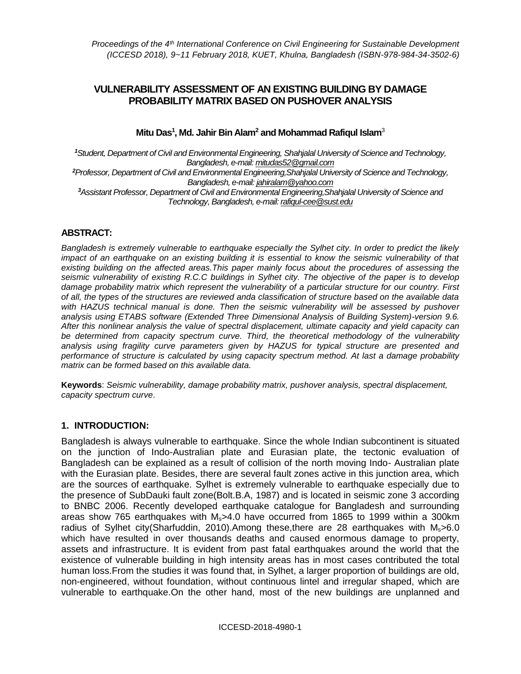# **VULNERABILITY ASSESSMENT OF AN EXISTING BUILDING BY DAMAGE PROBABILITY MATRIX BASED ON PUSHOVER ANALYSIS**

### **Mitu Das<sup>1</sup> , Md. Jahir Bin Alam<sup>2</sup> and Mohammad Rafiqul Islam**<sup>3</sup>

*<sup>1</sup>Student, Department of Civil and Environmental Engineering, Shahjalal University of Science and Technology, Bangladesh, e-mail[: mitudas52@gmail.com](mailto:mitudas52@gmail.com) <sup>2</sup>Professor, Department of Civil and Environmental Engineering,Shahjalal University of Science and Technology, Bangladesh, e-mail[: jahiralam@yahoo.com](mailto:jahiralam@yahoo.com) <sup>3</sup>Assistant Professor, Department of Civil and Environmental Engineering,Shahjalal University of Science and Technology, Bangladesh, e-mail[: rafiqul-cee@sust.edu](mailto:rafiqul-cee@sust.edu)*

### **ABSTRACT:**

*Bangladesh is extremely vulnerable to earthquake especially the Sylhet city. In order to predict the likely impact of an earthquake on an existing building it is essential to know the seismic vulnerability of that existing building on the affected areas.This paper mainly focus about the procedures of assessing the seismic vulnerability of existing R.C.C buildings in Sylhet city. The objective of the paper is to develop damage probability matrix which represent the vulnerability of a particular structure for our country. First of all, the types of the structures are reviewed anda classification of structure based on the available data with HAZUS technical manual is done. Then the seismic vulnerability will be assessed by pushover analysis using ETABS software (Extended Three Dimensional Analysis of Building System)-version 9.6. After this nonlinear analysis the value of spectral displacement, ultimate capacity and yield capacity can be determined from capacity spectrum curve. Third, the theoretical methodology of the vulnerability analysis using fragility curve parameters given by HAZUS for typical structure are presented and performance of structure is calculated by using capacity spectrum method. At last a damage probability matrix can be formed based on this available data.*

**Keywords**: *Seismic vulnerability, damage probability matrix, pushover analysis, spectral displacement, capacity spectrum curve*.

#### **1. INTRODUCTION:**

Bangladesh is always vulnerable to earthquake. Since the whole Indian subcontinent is situated on the junction of Indo-Australian plate and Eurasian plate, the tectonic evaluation of Bangladesh can be explained as a result of collision of the north moving Indo- Australian plate with the Eurasian plate. Besides, there are several fault zones active in this junction area, which are the sources of earthquake. Sylhet is extremely vulnerable to earthquake especially due to the presence of SubDauki fault zone(Bolt.B.A, 1987) and is located in seismic zone 3 according to BNBC 2006. Recently developed earthquake catalogue for Bangladesh and surrounding areas show 765 earthquakes with  $M<sub>s</sub> > 4.0$  have occurred from 1865 to 1999 within a 300 km radius of Sylhet city(Sharfuddin, 2010).Among these, there are 28 earthquakes with  $M_s > 6.0$ which have resulted in over thousands deaths and caused enormous damage to property, assets and infrastructure. It is evident from past fatal earthquakes around the world that the existence of vulnerable building in high intensity areas has in most cases contributed the total human loss.From the studies it was found that, in Sylhet, a larger proportion of buildings are old, non-engineered, without foundation, without continuous lintel and irregular shaped, which are vulnerable to earthquake.On the other hand, most of the new buildings are unplanned and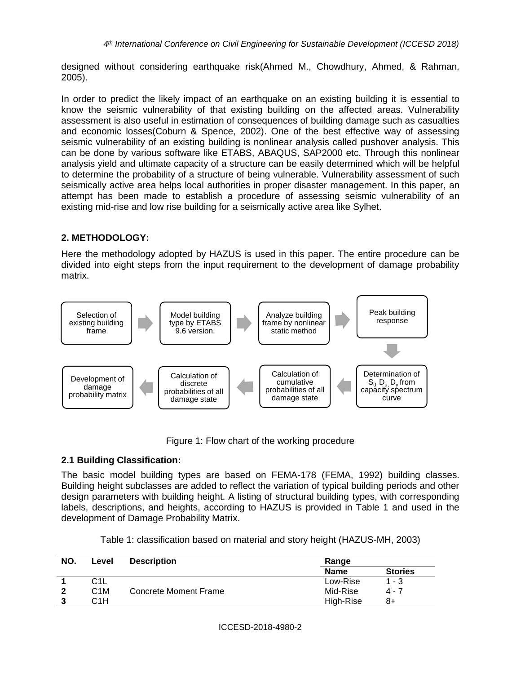designed without considering earthquake risk(Ahmed M., Chowdhury, Ahmed, & Rahman, 2005).

In order to predict the likely impact of an earthquake on an existing building it is essential to know the seismic vulnerability of that existing building on the affected areas. Vulnerability assessment is also useful in estimation of consequences of building damage such as casualties and economic losses(Coburn & Spence, 2002). One of the best effective way of assessing seismic vulnerability of an existing building is nonlinear analysis called pushover analysis. This can be done by various software like ETABS, ABAQUS, SAP2000 etc. Through this nonlinear analysis yield and ultimate capacity of a structure can be easily determined which will be helpful to determine the probability of a structure of being vulnerable. Vulnerability assessment of such seismically active area helps local authorities in proper disaster management. In this paper, an attempt has been made to establish a procedure of assessing seismic vulnerability of an existing mid-rise and low rise building for a seismically active area like Sylhet.

## **2. METHODOLOGY:**

Here the methodology adopted by HAZUS is used in this paper. The entire procedure can be divided into eight steps from the input requirement to the development of damage probability matrix.



Figure 1: Flow chart of the working procedure

# **2.1 Building Classification:**

The basic model building types are based on FEMA-178 (FEMA, 1992) building classes. Building height subclasses are added to reflect the variation of typical building periods and other design parameters with building height. A listing of structural building types, with corresponding labels, descriptions, and heights, according to HAZUS is provided in Table 1 and used in the development of Damage Probability Matrix.

| Table 1: classification based on material and story height (HAZUS-MH, 2003) |  |
|-----------------------------------------------------------------------------|--|
|-----------------------------------------------------------------------------|--|

| NO. | Level            | <b>Description</b>    | Range       |                |
|-----|------------------|-----------------------|-------------|----------------|
|     |                  |                       | <b>Name</b> | <b>Stories</b> |
|     | C1L              |                       | Low-Rise    | $1 - 3$        |
| 2   | C <sub>1</sub> M | Concrete Moment Frame | Mid-Rise    | 4 - 7          |
| າ   | C1H              |                       | High-Rise   | 8+             |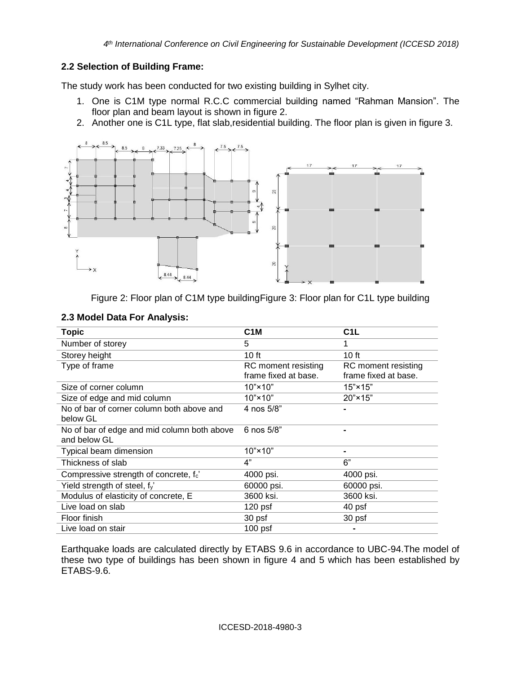### **2.2 Selection of Building Frame:**

The study work has been conducted for two existing building in Sylhet city.

- 1. One is C1M type normal R.C.C commercial building named "Rahman Mansion". The floor plan and beam layout is shown in figure 2.
- 2. Another one is C1L type, flat slab,residential building. The floor plan is given in figure 3.



Figure 2: Floor plan of C1M type buildingFigure 3: Floor plan for C1L type building

| <b>Topic</b>                                                | C <sub>1</sub> M                            | C <sub>1</sub> L                            |
|-------------------------------------------------------------|---------------------------------------------|---------------------------------------------|
| Number of storey                                            | 5                                           |                                             |
| Storey height                                               | 10 <sub>ft</sub>                            | 10 <sub>ft</sub>                            |
| Type of frame                                               | RC moment resisting<br>frame fixed at base. | RC moment resisting<br>frame fixed at base. |
| Size of corner column                                       | $10" \times 10"$                            | $15" \times 15"$                            |
| Size of edge and mid column                                 | $10" \times 10"$                            | $20" \times 15"$                            |
| No of bar of corner column both above and<br>below GL       | 4 nos 5/8"                                  |                                             |
| No of bar of edge and mid column both above<br>and below GL | 6 nos 5/8"                                  |                                             |
| Typical beam dimension                                      | $10" \times 10"$                            |                                             |
| Thickness of slab                                           | 4"                                          | 6"                                          |
| Compressive strength of concrete, f.'                       | 4000 psi.                                   | 4000 psi.                                   |
| Yield strength of steel, f <sub>y</sub> '                   | 60000 psi.                                  | 60000 psi.                                  |
| Modulus of elasticity of concrete, E                        | 3600 ksi.                                   | 3600 ksi.                                   |
| Live load on slab                                           | $120$ psf                                   | 40 psf                                      |
| Floor finish                                                | 30 psf                                      | 30 psf                                      |
| Live load on stair                                          | $100$ psf                                   |                                             |

### **2.3 Model Data For Analysis:**

Earthquake loads are calculated directly by ETABS 9.6 in accordance to UBC-94.The model of these two type of buildings has been shown in figure 4 and 5 which has been established by ETABS-9.6.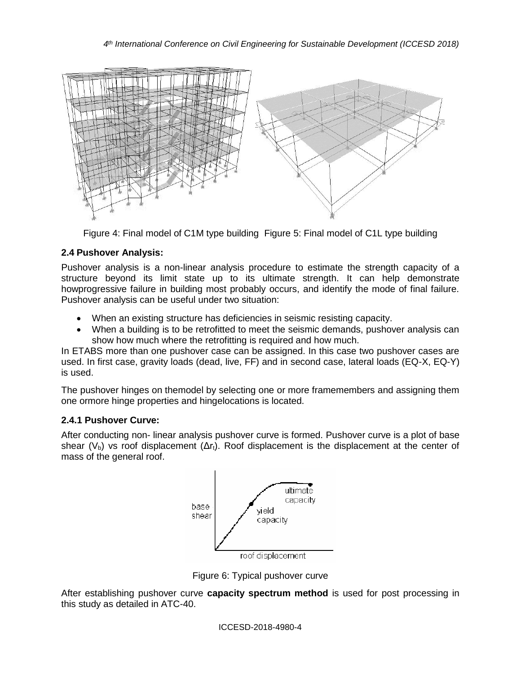

Figure 4: Final model of C1M type building Figure 5: Final model of C1L type building

## **2.4 Pushover Analysis:**

Pushover analysis is a non-linear analysis procedure to estimate the strength capacity of a structure beyond its limit state up to its ultimate strength. It can help demonstrate howprogressive failure in building most probably occurs, and identify the mode of final failure. Pushover analysis can be useful under two situation:

- When an existing structure has deficiencies in seismic resisting capacity.
- When a building is to be retrofitted to meet the seismic demands, pushover analysis can show how much where the retrofitting is required and how much.

In ETABS more than one pushover case can be assigned. In this case two pushover cases are used. In first case, gravity loads (dead, live, FF) and in second case, lateral loads (EQ-X, EQ-Y) is used.

The pushover hinges on themodel by selecting one or more framemembers and assigning them one ormore hinge properties and hingelocations is located.

### **2.4.1 Pushover Curve:**

After conducting non- linear analysis pushover curve is formed. Pushover curve is a plot of base shear (V<sub>b</sub>) vs roof displacement ( $\Delta r_t$ ). Roof displacement is the displacement at the center of mass of the general roof.



Figure 6: Typical pushover curve

After establishing pushover curve **capacity spectrum method** is used for post processing in this study as detailed in ATC-40.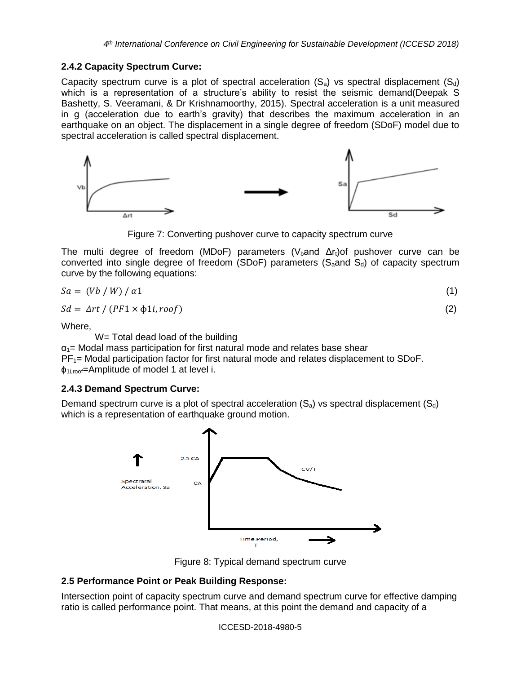#### **2.4.2 Capacity Spectrum Curve:**

Capacity spectrum curve is a plot of spectral acceleration  $(S_a)$  vs spectral displacement  $(S_d)$ which is a representation of a structure's ability to resist the seismic demand(Deepak S Bashetty, S. Veeramani, & Dr Krishnamoorthy, 2015). Spectral acceleration is a unit measured in g (acceleration due to earth's gravity) that describes the maximum acceleration in an earthquake on an object. The displacement in a single degree of freedom (SDoF) model due to spectral acceleration is called spectral displacement.



Figure 7: Converting pushover curve to capacity spectrum curve

The multi degree of freedom (MDoF) parameters (V<sub>b</sub>and  $\Delta r_t$ )of pushover curve can be converted into single degree of freedom (SDoF) parameters ( $S_a$  and  $S_d$ ) of capacity spectrum curve by the following equations:

$$
Sa = (Vb / W) / \alpha 1 \tag{1}
$$

$$
Sd = \Delta rt / (PF1 \times \phi 1i, roof) \tag{2}
$$

Where,

W= Total dead load of the building

 $\alpha_1$  Modal mass participation for first natural mode and relates base shear  $PF_{1}=$  Modal participation factor for first natural mode and relates displacement to SDoF.  $\phi_{1i,root}$ =Amplitude of model 1 at level i.

#### **2.4.3 Demand Spectrum Curve:**

Demand spectrum curve is a plot of spectral acceleration  $(S_a)$  vs spectral displacement  $(S_d)$ which is a representation of earthquake ground motion.



Figure 8: Typical demand spectrum curve

### **2.5 Performance Point or Peak Building Response:**

Intersection point of capacity spectrum curve and demand spectrum curve for effective damping ratio is called performance point. That means, at this point the demand and capacity of a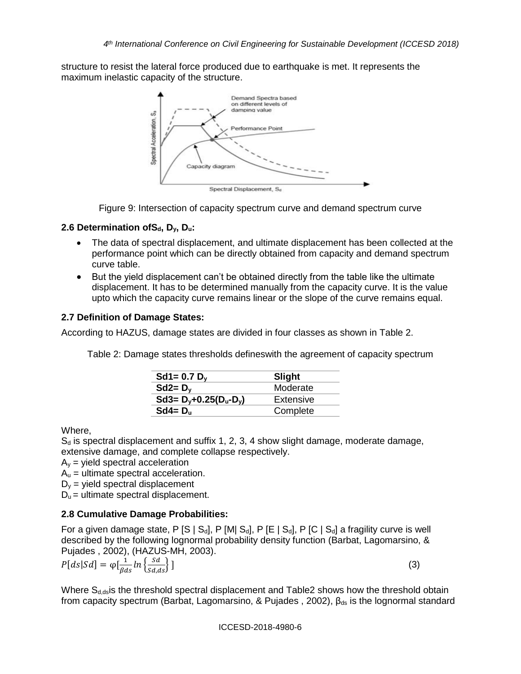structure to resist the lateral force produced due to earthquake is met. It represents the maximum inelastic capacity of the structure.



Figure 9: Intersection of capacity spectrum curve and demand spectrum curve

### **2.6 Determination ofSd, Dy, Du:**

- The data of spectral displacement, and ultimate displacement has been collected at the performance point which can be directly obtained from capacity and demand spectrum curve table.
- But the yield displacement can't be obtained directly from the table like the ultimate displacement. It has to be determined manually from the capacity curve. It is the value upto which the capacity curve remains linear or the slope of the curve remains equal.

### **2.7 Definition of Damage States:**

According to HAZUS, damage states are divided in four classes as shown in Table 2.

Table 2: Damage states thresholds defineswith the agreement of capacity spectrum

| Slight    |
|-----------|
| Moderate  |
| Extensive |
| Complete  |
|           |

Where,

 $S_d$  is spectral displacement and suffix 1, 2, 3, 4 show slight damage, moderate damage, extensive damage, and complete collapse respectively.

 $A<sub>v</sub>$  = yield spectral acceleration

 $A_u$  = ultimate spectral acceleration.

 $D_v$  = yield spectral displacement

 $D_u$  = ultimate spectral displacement.

# **2.8 Cumulative Damage Probabilities:**

For a given damage state, P  $[S \mid S_d]$ , P  $[M \mid S_d]$ , P  $[E \mid S_d]$ , P  $[C \mid S_d]$  a fragility curve is well described by the following lognormal probability density function (Barbat, Lagomarsino, & Pujades , 2002), (HAZUS-MH, 2003).

$$
P[ds|Sd] = \varphi\left[\frac{1}{\beta ds}ln\left\{\frac{Sd}{sd, ds}\right\}\right]
$$
\n(3)

Where  $S_{d,ds}$  is the threshold spectral displacement and Table2 shows how the threshold obtain from capacity spectrum (Barbat, Lagomarsino, & Pujades, 2002),  $\beta_{ds}$  is the lognormal standard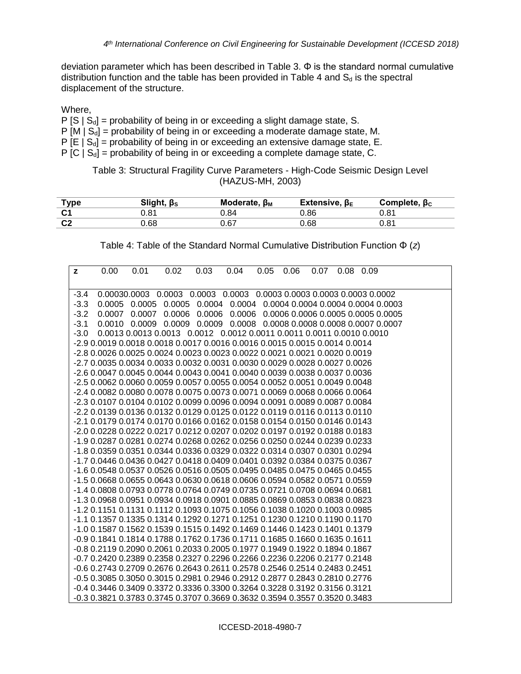deviation parameter which has been described in Table 3.  $\Phi$  is the standard normal cumulative distribution function and the table has been provided in Table 4 and  $S_d$  is the spectral displacement of the structure.

Where,

- $P [S | S_d]$  = probability of being in or exceeding a slight damage state, S.
- $P [M | S_d]$  = probability of being in or exceeding a moderate damage state, M.
- $P [E | S_d]$  = probability of being in or exceeding an extensive damage state, E.
- P  $[C \mid S_d]$  = probability of being in or exceeding a complete damage state, C.

Table 3: Structural Fragility Curve Parameters - High-Code Seismic Design Level (HAZUS-MH, 2003)

| <u>Type</u> | Slight, $\beta$ s | Moderate, $\beta_M$ | Extensive, $\beta_{E}$ | Complete, $\beta_c$ |
|-------------|-------------------|---------------------|------------------------|---------------------|
|             | 0.81              | .84 ر               | 0.86                   | 0.81                |
| ⌒⌒<br>◡∠    | .68               | ა.67                | ).68                   | 0.81                |

| Table 4: Table of the Standard Normal Cumulative Distribution Function $\Phi(z)$ |  |  |
|----------------------------------------------------------------------------------|--|--|
|----------------------------------------------------------------------------------|--|--|

| $\mathbf{z}$ | 0.00 | 0.01 | 0.02                                                                           | 0.03 | 0.04 | 0.05  0.06 | $0.07$ 0.08 0.09 |  |
|--------------|------|------|--------------------------------------------------------------------------------|------|------|------------|------------------|--|
| -3.4         |      |      | 0.00030.0003  0.0003  0.0003  0.0003  0.0003  0.0003  0.0003  0.0003  0.0002   |      |      |            |                  |  |
| $-3.3$       |      |      | 0.0005 0.0005 0.0005 0.0004 0.0004 0.0004 0.0004 0.0004 0.0004 0.0003          |      |      |            |                  |  |
| $-3.2$       |      |      | 0.0007  0.0007  0.0006  0.0006  0.0006  0.0006  0.0006  0.0005  0.0005  0.0005 |      |      |            |                  |  |
| $-3.1$       |      |      | 0.0010 0.0009 0.0009 0.0009 0.0008 0.0008 0.0008 0.0008 0.0007 0.0007          |      |      |            |                  |  |
| -3.0         |      |      | 0.0013 0.0013 0.0013 0.0012 0.0012 0.0011 0.0011 0.0011 0.0010 0.0010          |      |      |            |                  |  |
|              |      |      | -2.9 0.0019 0.0018 0.0018 0.0017 0.0016 0.0016 0.0015 0.0015 0.0014 0.0014     |      |      |            |                  |  |
|              |      |      | -2.8 0.0026 0.0025 0.0024 0.0023 0.0023 0.0022 0.0021 0.0021 0.0020 0.0019     |      |      |            |                  |  |
|              |      |      | -2.7 0.0035 0.0034 0.0033 0.0032 0.0031 0.0030 0.0029 0.0028 0.0027 0.0026     |      |      |            |                  |  |
|              |      |      | -2.6 0.0047 0.0045 0.0044 0.0043 0.0041 0.0040 0.0039 0.0038 0.0037 0.0036     |      |      |            |                  |  |
|              |      |      | -2.5 0.0062 0.0060 0.0059 0.0057 0.0055 0.0054 0.0052 0.0051 0.0049 0.0048     |      |      |            |                  |  |
|              |      |      | -2.4 0.0082 0.0080 0.0078 0.0075 0.0073 0.0071 0.0069 0.0068 0.0066 0.0064     |      |      |            |                  |  |
|              |      |      | -2.3 0.0107 0.0104 0.0102 0.0099 0.0096 0.0094 0.0091 0.0089 0.0087 0.0084     |      |      |            |                  |  |
|              |      |      | -2.2 0.0139 0.0136 0.0132 0.0129 0.0125 0.0122 0.0119 0.0116 0.0113 0.0110     |      |      |            |                  |  |
|              |      |      | -2.1 0.0179 0.0174 0.0170 0.0166 0.0162 0.0158 0.0154 0.0150 0.0146 0.0143     |      |      |            |                  |  |
|              |      |      | -2.0 0.0228 0.0222 0.0217 0.0212 0.0207 0.0202 0.0197 0.0192 0.0188 0.0183     |      |      |            |                  |  |
|              |      |      | -1.9 0.0287 0.0281 0.0274 0.0268 0.0262 0.0256 0.0250 0.0244 0.0239 0.0233     |      |      |            |                  |  |
|              |      |      | -1.8 0.0359 0.0351 0.0344 0.0336 0.0329 0.0322 0.0314 0.0307 0.0301 0.0294     |      |      |            |                  |  |
|              |      |      | -1.7 0.0446 0.0436 0.0427 0.0418 0.0409 0.0401 0.0392 0.0384 0.0375 0.0367     |      |      |            |                  |  |
|              |      |      | -1.6 0.0548 0.0537 0.0526 0.0516 0.0505 0.0495 0.0485 0.0475 0.0465 0.0455     |      |      |            |                  |  |
|              |      |      | -1.5 0.0668 0.0655 0.0643 0.0630 0.0618 0.0606 0.0594 0.0582 0.0571 0.0559     |      |      |            |                  |  |
|              |      |      | -1.4 0.0808 0.0793 0.0778 0.0764 0.0749 0.0735 0.0721 0.0708 0.0694 0.0681     |      |      |            |                  |  |
|              |      |      | -1.3 0.0968 0.0951 0.0934 0.0918 0.0901 0.0885 0.0869 0.0853 0.0838 0.0823     |      |      |            |                  |  |
|              |      |      | -1.2 0.1151 0.1131 0.1112 0.1093 0.1075 0.1056 0.1038 0.1020 0.1003 0.0985     |      |      |            |                  |  |
|              |      |      | -1.1 0.1357 0.1335 0.1314 0.1292 0.1271 0.1251 0.1230 0.1210 0.1190 0.1170     |      |      |            |                  |  |
|              |      |      | -1.0 0.1587 0.1562 0.1539 0.1515 0.1492 0.1469 0.1446 0.1423 0.1401 0.1379     |      |      |            |                  |  |
|              |      |      | -0.9 0.1841 0.1814 0.1788 0.1762 0.1736 0.1711 0.1685 0.1660 0.1635 0.1611     |      |      |            |                  |  |
|              |      |      | -0.8 0.2119 0.2090 0.2061 0.2033 0.2005 0.1977 0.1949 0.1922 0.1894 0.1867     |      |      |            |                  |  |
|              |      |      | -0.7 0.2420 0.2389 0.2358 0.2327 0.2296 0.2266 0.2236 0.2206 0.2177 0.2148     |      |      |            |                  |  |
|              |      |      | -0.6 0.2743 0.2709 0.2676 0.2643 0.2611 0.2578 0.2546 0.2514 0.2483 0.2451     |      |      |            |                  |  |
|              |      |      | -0.5 0.3085 0.3050 0.3015 0.2981 0.2946 0.2912 0.2877 0.2843 0.2810 0.2776     |      |      |            |                  |  |
|              |      |      | -0.4 0.3446 0.3409 0.3372 0.3336 0.3300 0.3264 0.3228 0.3192 0.3156 0.3121     |      |      |            |                  |  |
|              |      |      | -0.3 0.3821 0.3783 0.3745 0.3707 0.3669 0.3632 0.3594 0.3557 0.3520 0.3483     |      |      |            |                  |  |

ICCESD-2018-4980-7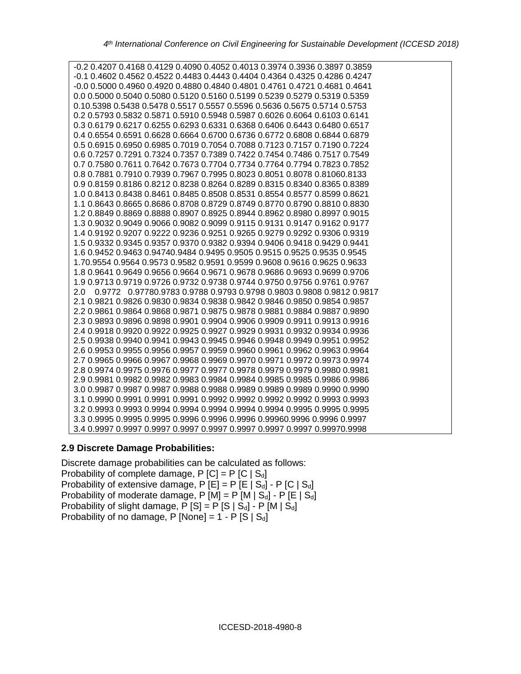| -0.2 0.4207 0.4168 0.4129 0.4090 0.4052 0.4013 0.3974 0.3936 0.3897 0.3859  |
|-----------------------------------------------------------------------------|
| -0.1 0.4602 0.4562 0.4522 0.4483 0.4443 0.4404 0.4364 0.4325 0.4286 0.4247  |
| -0.0 0.5000 0.4960 0.4920 0.4880 0.4840 0.4801 0.4761 0.4721 0.4681 0.4641  |
| 0.0 0.5000 0.5040 0.5080 0.5120 0.5160 0.5199 0.5239 0.5279 0.5319 0.5359   |
| 0.10.5398 0.5438 0.5478 0.5517 0.5557 0.5596 0.5636 0.5675 0.5714 0.5753    |
| 0.2 0.5793 0.5832 0.5871 0.5910 0.5948 0.5987 0.6026 0.6064 0.6103 0.6141   |
| 0.3 0.6179 0.6217 0.6255 0.6293 0.6331 0.6368 0.6406 0.6443 0.6480 0.6517   |
| 0.4 0.6554 0.6591 0.6628 0.6664 0.6700 0.6736 0.6772 0.6808 0.6844 0.6879   |
| 0.5 0.6915 0.6950 0.6985 0.7019 0.7054 0.7088 0.7123 0.7157 0.7190 0.7224   |
| 0.6 0.7257 0.7291 0.7324 0.7357 0.7389 0.7422 0.7454 0.7486 0.7517 0.7549   |
| 0.7 0.7580 0.7611 0.7642 0.7673 0.7704 0.7734 0.7764 0.7794 0.7823 0.7852   |
| 0.8 0.7881 0.7910 0.7939 0.7967 0.7995 0.8023 0.8051 0.8078 0.81060.8133    |
| 0.9 0.8159 0.8186 0.8212 0.8238 0.8264 0.8289 0.8315 0.8340 0.8365 0.8389   |
| 1.0 0.8413 0.8438 0.8461 0.8485 0.8508 0.8531 0.8554 0.8577 0.8599 0.8621   |
| 1.1 0.8643 0.8665 0.8686 0.8708 0.8729 0.8749 0.8770 0.8790 0.8810 0.8830   |
| 1.2 0.8849 0.8869 0.8888 0.8907 0.8925 0.8944 0.8962 0.8980 0.8997 0.9015   |
| 1.3 0.9032 0.9049 0.9066 0.9082 0.9099 0.9115 0.9131 0.9147 0.9162 0.9177   |
| 1.4 0.9192 0.9207 0.9222 0.9236 0.9251 0.9265 0.9279 0.9292 0.9306 0.9319   |
| 1.5 0.9332 0.9345 0.9357 0.9370 0.9382 0.9394 0.9406 0.9418 0.9429 0.9441   |
| 1.6 0.9452 0.9463 0.94740.9484 0.9495 0.9505 0.9515 0.9525 0.9535 0.9545    |
| 1.70.9554 0.9564 0.9573 0.9582 0.9591 0.9599 0.9608 0.9616 0.9625 0.9633    |
| 1.8 0.9641 0.9649 0.9656 0.9664 0.9671 0.9678 0.9686 0.9693 0.9699 0.9706   |
| 1.9 0.9713 0.9719 0.9726 0.9732 0.9738 0.9744 0.9750 0.9756 0.9761 0.9767   |
| 0.9772 0.97780.9783 0.9788 0.9793 0.9798 0.9803 0.9808 0.9812 0.9817<br>2.0 |
| 2.1 0.9821 0.9826 0.9830 0.9834 0.9838 0.9842 0.9846 0.9850 0.9854 0.9857   |
| 2.2 0.9861 0.9864 0.9868 0.9871 0.9875 0.9878 0.9881 0.9884 0.9887 0.9890   |
| 2.3 0.9893 0.9896 0.9898 0.9901 0.9904 0.9906 0.9909 0.9911 0.9913 0.9916   |
| 2.4 0.9918 0.9920 0.9922 0.9925 0.9927 0.9929 0.9931 0.9932 0.9934 0.9936   |
| 2.5 0.9938 0.9940 0.9941 0.9943 0.9945 0.9946 0.9948 0.9949 0.9951 0.9952   |
| 2.6 0.9953 0.9955 0.9956 0.9957 0.9959 0.9960 0.9961 0.9962 0.9963 0.9964   |
| 2.7 0.9965 0.9966 0.9967 0.9968 0.9969 0.9970 0.9971 0.9972 0.9973 0.9974   |
| 2.8 0.9974 0.9975 0.9976 0.9977 0.9977 0.9978 0.9979 0.9979 0.9980 0.9981   |
| 2.9 0.9981 0.9982 0.9982 0.9983 0.9984 0.9984 0.9985 0.9985 0.9986 0.9986   |
| 3.0 0.9987 0.9987 0.9987 0.9988 0.9988 0.9989 0.9989 0.9989 0.9990 0.9990   |
| 3.1 0.9990 0.9991 0.9991 0.9991 0.9992 0.9992 0.9992 0.9992 0.9993 0.9993   |
| 3.2 0.9993 0.9993 0.9994 0.9994 0.9994 0.9994 0.9994 0.9995 0.9995 0.9995   |
| 3.3 0.9995 0.9995 0.9995 0.9996 0.9996 0.9996 0.99960.9996 0.9996 0.9997    |
| 3.4 0.9997 0.9997 0.9997 0.9997 0.9997 0.9997 0.9997 0.9997 0.99970.9998    |

#### **2.9 Discrete Damage Probabilities:**

Discrete damage probabilities can be calculated as follows: Probability of complete damage,  $P [C] = P [C | S_d]$ Probability of extensive damage,  $P [E] = P [E | S_d] - P [C | S_d]$ Probability of moderate damage, P  $[M] = P [M | S_d] - P [E | S_d]$ Probability of slight damage,  $\overline{P}$  [S] = P [S | S<sub>d</sub>] - P [M | S<sub>d</sub>] Probability of no damage, P [None] =  $1 - P$  [S | Sd]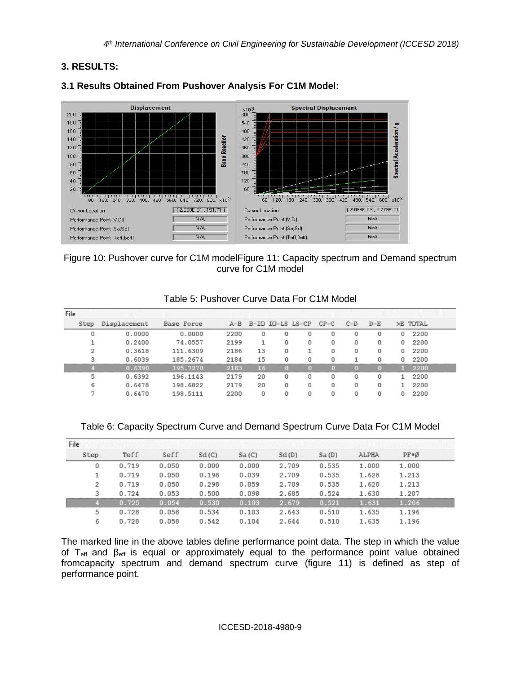## **3. RESULTS:**



## **3.1 Results Obtained From Pushover Analysis For C1M Model:**

### Figure 10: Pushover curve for C1M modelFigure 11: Capacity spectrum and Demand spectrum curve for C1M model

| File |              |            |      |    |   |                           |   |       |         |   |          |
|------|--------------|------------|------|----|---|---------------------------|---|-------|---------|---|----------|
| Step | Displacement | Base Force |      |    |   | A-B B-IO IO-LS LS-CP CP-C |   | $C-D$ | $D - E$ |   | >E TOTAL |
|      | 0.0000       | 0.0000     | 2200 | U  | 0 | 0                         |   | ۵     | 0       |   | 2200     |
|      | 0.2400       | 74.0557    | 2199 |    | 0 | 0                         | o | O     | 0       | Ω | 2200     |
|      | 0.3618       | 111.6309   | 2186 | 13 | 0 |                           |   | 0     | 0       |   | 2200     |
| э    | 0.6039       | 185.2674   | 2184 | 15 | n | n                         |   |       |         |   | 2200     |
|      | 0.6390       | 195.7270   | 2183 | 16 |   |                           |   |       |         |   | 2200     |
| 5    | 0.6392       | 196.1143   | 2179 | 20 | n | Ω                         | Ω | Ω     | U       |   | 2200     |
|      | 0.6478       | 198.6822   | 2179 | 20 | 0 | 0                         | O | Ω     | 0       |   | 2200     |
|      | 0.6470       | 198.5111   | 2200 | n  | O |                           |   | n     | n       |   | 2200     |

#### Table 5: Pushover Curve Data For C1M Model

#### Table 6: Capacity Spectrum Curve and Demand Spectrum Curve Data For C1M Model

| File |       |             |       |       |       |        |       |       |  |
|------|-------|-------------|-------|-------|-------|--------|-------|-------|--|
| Step | Teff  | <b>Seff</b> | Sd(C) | Sa(C) | Sd(D) | Sa(D)  | ALPHA | PF*Ø  |  |
| 0    | 0.719 | 0.050       | 0.000 | 0.000 | 2.709 | 0.535  | 1.000 | 1.000 |  |
|      | 0.719 | 0.050       | 0.198 | 0.039 | 2.709 | 0.535  | 1.628 | 1.213 |  |
| 2    | 0.719 | 0.050       | 0.298 | 0.059 | 2.709 | 0.535  | 1.628 | 1.213 |  |
| 3    | 0.724 | 0.053       | 0.500 | 0.098 | 2.685 | 0.524  | 1.630 | 1.207 |  |
|      | 725   | .054        |       | 1.103 | . 679 | N. 521 | .631  | 206   |  |
| 5    | 0.728 | 0.058       | 0.534 | 0.103 | 2.643 | 0.510  | 1.635 | 1.196 |  |
| ь    | 0.728 | 0.058       | 0.542 | 0.104 | 2.644 | 0.510  | 1.635 | 1.196 |  |

The marked line in the above tables define performance point data. The step in which the value of  $T_{\text{eff}}$  and  $\beta_{\text{eff}}$  is equal or approximately equal to the performance point value obtained fromcapacity spectrum and demand spectrum curve (figure 11) is defined as step of performance point.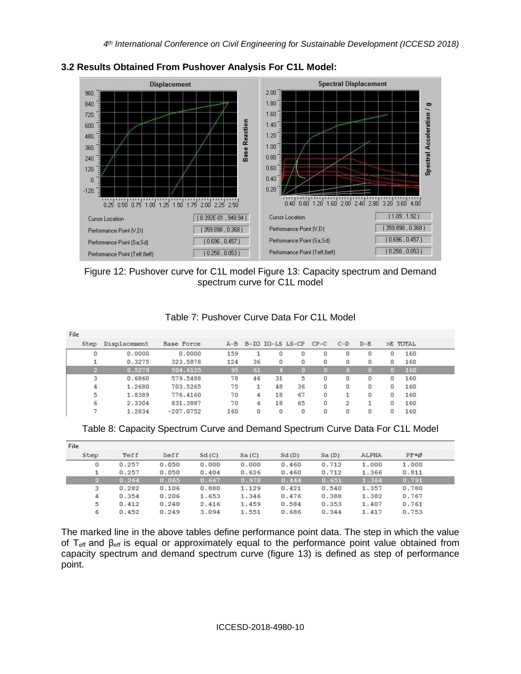

### **3.2 Results Obtained From Pushover Analysis For C1L Model:**



### Table 7: Pushover Curve Data For C1L Model

| File |              |             |     |    |    |                               |   |   |         |   |          |  |
|------|--------------|-------------|-----|----|----|-------------------------------|---|---|---------|---|----------|--|
| Step | Displacement | Base Force  |     |    |    | A-B B-IO IO-LS LS-CP CP-C C-D |   |   | $D - E$ |   | >E TOTAL |  |
|      | 0.0000       | 0.0000      | 159 |    | 0  | 0                             | 0 | Ω | 0       | 0 | 160      |  |
|      | 0.3275       | 323.5878    | 124 | 36 | n  | n                             | n | n | n       |   | 160      |  |
|      | 0.5278       | 504.6125    | 95  | 61 |    |                               |   |   |         |   | 160      |  |
| з    | 0.6860       | 579.5488    | 78  | 46 | 31 | 5                             | n | n | n       | n | 160      |  |
|      | 1.2680       | 703.5265    | 75  |    | 48 | 36                            | Ω | Ω | Ū       | o | 160      |  |
| 5    | 1.8389       | 776,4160    | 70  | 4  | 18 | 67                            | 0 |   | 0       | Ū | 160      |  |
|      | 2.3304       | 831,3887    | 70  | 4  | 18 | 65                            | O | 2 |         | n | 160      |  |
|      | 1.2834       | $-207.0752$ | 160 |    |    |                               |   |   |         |   | 160      |  |

Table 8: Capacity Spectrum Curve and Demand Spectrum Curve Data For C1L Model

| File |       |             |       |        |       |       |       |       |  |
|------|-------|-------------|-------|--------|-------|-------|-------|-------|--|
| Step | Teff  | <b>Seff</b> | Sd(C) | Sa(C)  | Sd(D) | Sa(D) | ALPHA | PF*Ø  |  |
| 0    | 0.257 | 0.050       | 0.000 | 0.000  | 0.460 | 0.712 | 1,000 | 1,000 |  |
|      | 0.257 | 0.050       | 0.404 | 0.626  | 0.460 | 0.712 | 1.366 | 0.811 |  |
|      | 0.264 | 0.065       | 0.667 | N. 978 | .444  | 0.651 | 1.364 | 0.791 |  |
| 3    | 0.282 | 0.106       | 0.880 | 1,129  | 0.421 | 0.540 | 1.357 | 0.780 |  |
| 4    | 0.354 | 0.206       | 1.653 | 1.346  | 0.476 | 0.388 | 1.382 | 0.767 |  |
| 5    | 0.412 | 0.240       | 2.416 | 1.459  | 0.584 | 0.353 | 1.407 | 0.761 |  |
| 6    | 0.452 | 0.249       | 3.094 | 1,551  | 0.686 | 0.344 | 1.417 | 0.753 |  |

The marked line in the above tables define performance point data. The step in which the value of  $T_{\text{eff}}$  and  $\beta_{\text{eff}}$  is equal or approximately equal to the performance point value obtained from capacity spectrum and demand spectrum curve (figure 13) is defined as step of performance point.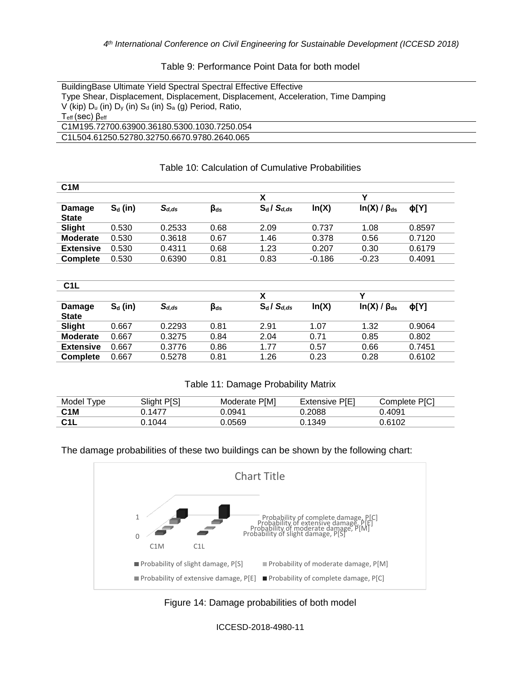#### Table 9: Performance Point Data for both model

#### Table 10: Calculation of Cumulative Probabilities

| C <sub>1</sub> M |            |            |              |                  |          |                      |           |
|------------------|------------|------------|--------------|------------------|----------|----------------------|-----------|
|                  |            |            |              | х                |          |                      |           |
| Damage           | $S_d$ (in) | $S_{d,ds}$ | $\beta_{ds}$ | $S_d / S_{d,ds}$ | ln(X)    | $In(X) / \beta_{ds}$ | $\phi[Y]$ |
| <b>State</b>     |            |            |              |                  |          |                      |           |
| Slight           | 0.530      | 0.2533     | 0.68         | 2.09             | 0.737    | 1.08                 | 0.8597    |
| <b>Moderate</b>  | 0.530      | 0.3618     | 0.67         | 1.46             | 0.378    | 0.56                 | 0.7120    |
| <b>Extensive</b> | 0.530      | 0.4311     | 0.68         | 1.23             | 0.207    | 0.30                 | 0.6179    |
| <b>Complete</b>  | 0.530      | 0.6390     | 0.81         | 0.83             | $-0.186$ | $-0.23$              | 0.4091    |
|                  |            |            |              |                  |          |                      |           |

| C1L              |            |            |                               |                  |       |                      |           |
|------------------|------------|------------|-------------------------------|------------------|-------|----------------------|-----------|
|                  |            |            |                               | Х                |       |                      |           |
| Damage           | $S_d$ (in) | $S_{d,ds}$ | $\boldsymbol{\beta_{\sf ds}}$ | $S_d / S_{d,ds}$ | ln(X) | $ln(X) / \beta_{ds}$ | $\phi[Y]$ |
| <b>State</b>     |            |            |                               |                  |       |                      |           |
| Slight           | 0.667      | 0.2293     | 0.81                          | 2.91             | 1.07  | 1.32                 | 0.9064    |
| <b>Moderate</b>  | 0.667      | 0.3275     | 0.84                          | 2.04             | 0.71  | 0.85                 | 0.802     |
| <b>Extensive</b> | 0.667      | 0.3776     | 0.86                          | 1.77             | 0.57  | 0.66                 | 0.7451    |
| <b>Complete</b>  | 0.667      | 0.5278     | 0.81                          | 1.26             | 0.23  | 0.28                 | 0.6102    |

#### Table 11: Damage Probability Matrix

| Model<br><b>vpe</b> | Slight P[S] | Moderate P[M] | <b>Extensive P[E]</b> | Complete PIC1 |
|---------------------|-------------|---------------|-----------------------|---------------|
| C <sub>1</sub> M    | 1477        | 0.0941        | 0.2088                | 0.4091        |
| C11                 | 1044        | .0569         | 0.1349                | በ 6102        |

#### The damage probabilities of these two buildings can be shown by the following chart:





ICCESD-2018-4980-11